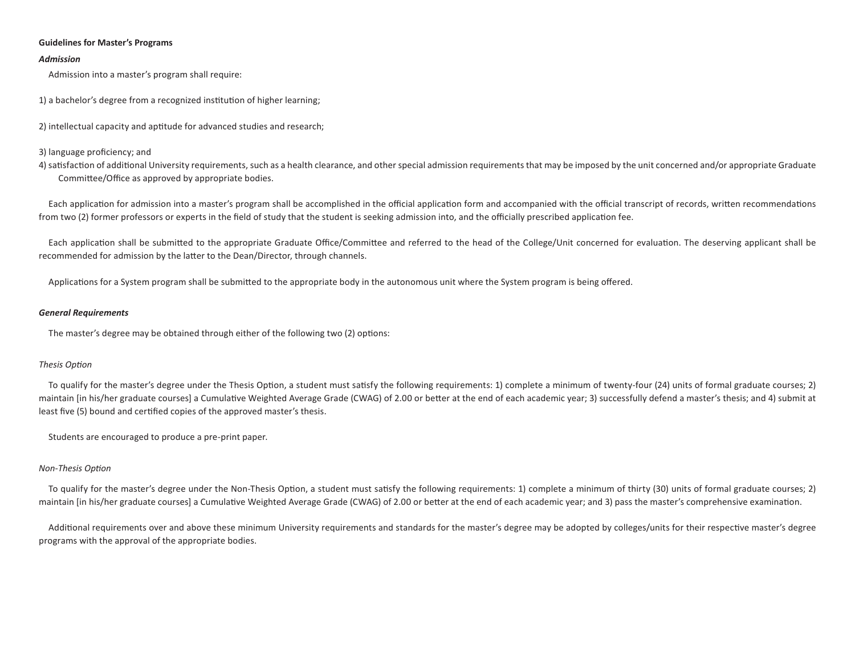## **Guidelines for Master's Programs**

#### *Admission*

Admission into a master's program shall require:

1) a bachelor's degree from a recognized institution of higher learning;

2) intellectual capacity and aptitude for advanced studies and research;

3) language proficiency; and

4) satisfaction of additional University requirements, such as a health clearance, and other special admission requirements that may be imposed by the unit concerned and/or appropriate Graduate Committee/Office as approved by appropriate bodies.

Each application for admission into a master's program shall be accomplished in the official application form and accompanied with the official transcript of records, written recommendations from two (2) former professors or experts in the field of study that the student is seeking admission into, and the officially prescribed application fee.

Each application shall be submitted to the appropriate Graduate Office/Committee and referred to the head of the College/Unit concerned for evaluation. The deserving applicant shall be recommended for admission by the latter to the Dean/Director, through channels.

Applications for a System program shall be submitted to the appropriate body in the autonomous unit where the System program is being offered.

### *General Requirements*

The master's degree may be obtained through either of the following two (2) options:

### *Thesis Option*

To qualify for the master's degree under the Thesis Option, a student must satisfy the following requirements: 1) complete a minimum of twenty-four (24) units of formal graduate courses; 2) maintain [in his/her graduate courses] a Cumulative Weighted Average Grade (CWAG) of 2.00 or better at the end of each academic year; 3) successfully defend a master's thesis; and 4) submit at least five (5) bound and certified copies of the approved master's thesis.

Students are encouraged to produce a pre-print paper.

# *Non-Thesis Option*

To qualify for the master's degree under the Non-Thesis Option, a student must satisfy the following requirements: 1) complete a minimum of thirty (30) units of formal graduate courses; 2) maintain [in his/her graduate courses] a Cumulative Weighted Average Grade (CWAG) of 2.00 or better at the end of each academic year; and 3) pass the master's comprehensive examination.

Additional requirements over and above these minimum University requirements and standards for the master's degree may be adopted by colleges/units for their respective master's degree programs with the approval of the appropriate bodies.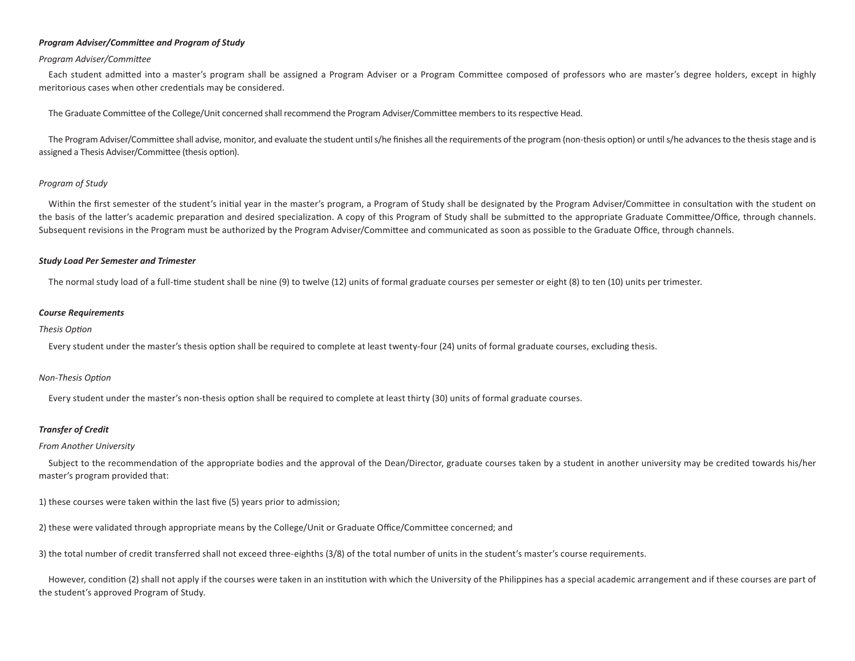## *Program Adviser/Committee and Program of Study*

## *Program Adviser/Committee*

Each student admitted into a master's program shall be assigned a Program Adviser or a Program Committee composed of professors who are master's degree holders, except in highly meritorious cases when other credentials may be considered.

The Graduate Committee of the College/Unit concerned shall recommend the Program Adviser/Committee members to its respective Head.

The Program Adviser/Committee shall advise, monitor, and evaluate the student until s/he finishes all the requirements of the program (non-thesis option) or until s/he advances to the thesis stage and is assigned a Thesis Adviser/Committee (thesis option).

## *Program of Study*

Within the first semester of the student's initial year in the master's program, a Program of Study shall be designated by the Program Adviser/Committee in consultation with the student on the basis of the latter's academic preparation and desired specialization. A copy of this Program of Study shall be submitted to the appropriate Graduate Committee/Office, through channels. Subsequent revisions in the Program must be authorized by the Program Adviser/Committee and communicated as soon as possible to the Graduate Office, through channels.

## *Study Load Per Semester and Trimester*

The normal study load of a full-time student shall be nine (9) to twelve (12) units of formal graduate courses per semester or eight (8) to ten (10) units per trimester.

### *Course Requirements*

## *Thesis Option*

Every student under the master's thesis option shall be required to complete at least twenty-four (24) units of formal graduate courses, excluding thesis.

### *Non-Thesis Option*

Every student under the master's non-thesis option shall be required to complete at least thirty (30) units of formal graduate courses.

# *Transfer of Credit*

## *From Another University*

Subject to the recommendation of the appropriate bodies and the approval of the Dean/Director, graduate courses taken by a student in another university may be credited towards his/her master's program provided that:

1) these courses were taken within the last five (5) years prior to admission;

2) these were validated through appropriate means by the College/Unit or Graduate Office/Committee concerned; and

3) the total number of credit transferred shall not exceed three-eighths (3/8) of the total number of units in the student's master's course requirements.

However, condition (2) shall not apply if the courses were taken in an institution with which the University of the Philippines has a special academic arrangement and if these courses are part of the student's approved Program of Study.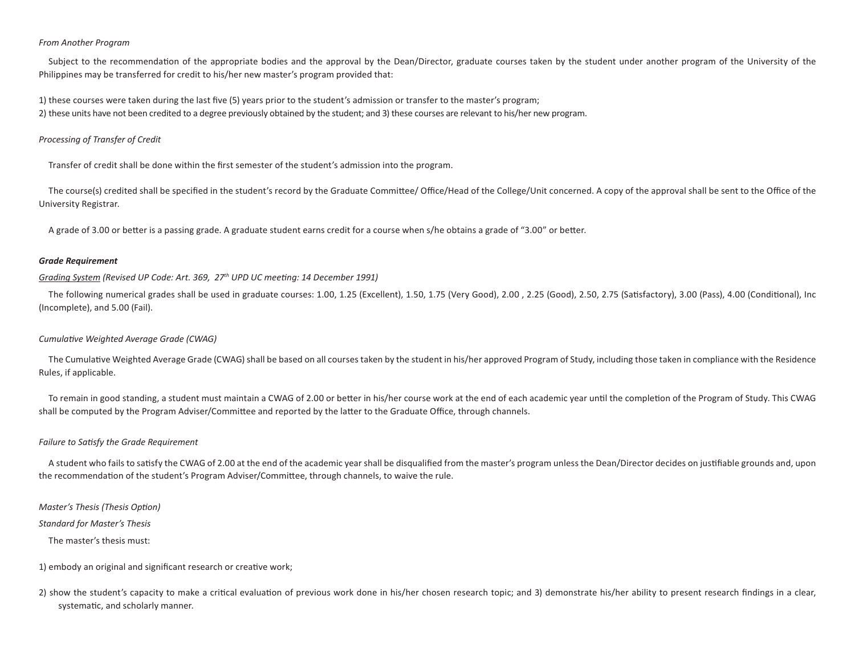## *From Another Program*

Subject to the recommendation of the appropriate bodies and the approval by the Dean/Director, graduate courses taken by the student under another program of the University of the Philippines may be transferred for credit to his/her new master's program provided that:

1) these courses were taken during the last five (5) years prior to the student's admission or transfer to the master's program; 2) these units have not been credited to a degree previously obtained by the student; and 3) these courses are relevant to his/her new program.

## *Processing of Transfer of Credit*

Transfer of credit shall be done within the first semester of the student's admission into the program.

The course(s) credited shall be specified in the student's record by the Graduate Committee/ Office/Head of the College/Unit concerned. A copy of the approval shall be sent to the Office of the University Registrar.

A grade of 3.00 or better is a passing grade. A graduate student earns credit for a course when s/he obtains a grade of "3.00" or better.

### *Grade Requirement*

## *Grading System (Revised UP Code: Art. 369, 27th UPD UC meeting: 14 December 1991)*

The following numerical grades shall be used in graduate courses: 1.00, 1.25 (Excellent), 1.50, 1.75 (Very Good), 2.00 , 2.25 (Good), 2.50, 2.75 (Satisfactory), 3.00 (Pass), 4.00 (Conditional), Inc (Incomplete), and 5.00 (Fail).

# *Cumulative Weighted Average Grade (CWAG)*

The Cumulative Weighted Average Grade (CWAG) shall be based on all courses taken by the student in his/her approved Program of Study, including those taken in compliance with the Residence Rules, if applicable.

To remain in good standing, a student must maintain a CWAG of 2.00 or better in his/her course work at the end of each academic year until the completion of the Program of Study. This CWAG shall be computed by the Program Adviser/Committee and reported by the latter to the Graduate Office, through channels.

### *Failure to Satisfy the Grade Requirement*

A student who fails to satisfy the CWAG of 2.00 at the end of the academic year shall be disqualified from the master's program unless the Dean/Director decides on justifiable grounds and, upon the recommendation of the student's Program Adviser/Committee, through channels, to waive the rule.

*Master's Thesis (Thesis Option)*

### *Standard for Master's Thesis*

The master's thesis must:

1) embody an original and significant research or creative work;

2) show the student's capacity to make a critical evaluation of previous work done in his/her chosen research topic; and 3) demonstrate his/her ability to present research findings in a clear, systematic, and scholarly manner.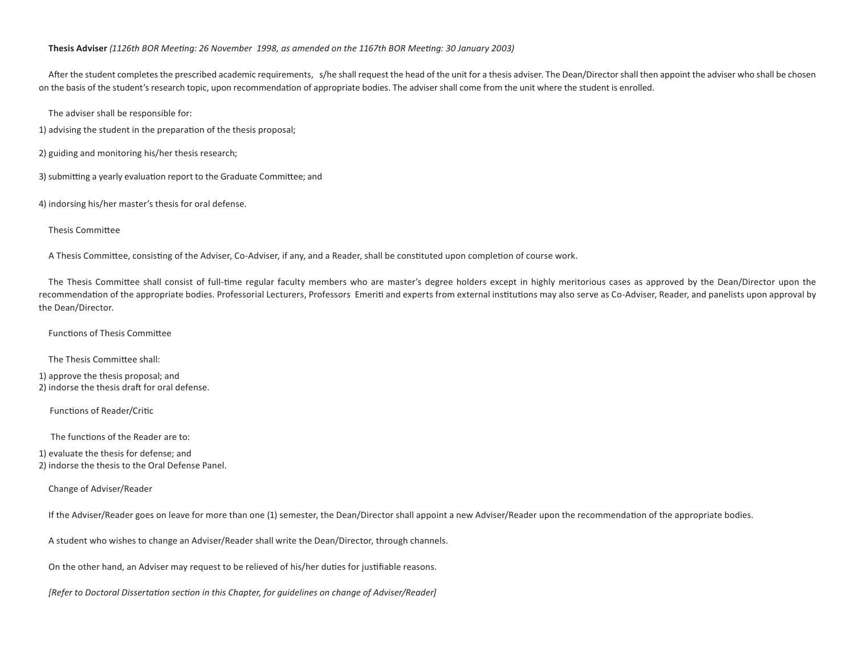## **Thesis Adviser** *(1126th BOR Meeting: 26 November 1998, as amended on the 1167th BOR Meeting: 30 January 2003)*

After the student completes the prescribed academic requirements, s/he shall request the head of the unit for a thesis adviser. The Dean/Director shall then appoint the adviser who shall be chosen on the basis of the student's research topic, upon recommendation of appropriate bodies. The adviser shall come from the unit where the student is enrolled.

The adviser shall be responsible for:

1) advising the student in the preparation of the thesis proposal;

2) guiding and monitoring his/her thesis research;

3) submitting a yearly evaluation report to the Graduate Committee; and

4) indorsing his/her master's thesis for oral defense.

Thesis Committee

A Thesis Committee, consisting of the Adviser, Co-Adviser, if any, and a Reader, shall be constituted upon completion of course work.

The Thesis Committee shall consist of full-time regular faculty members who are master's degree holders except in highly meritorious cases as approved by the Dean/Director upon the recommendation of the appropriate bodies. Professorial Lecturers, Professors Emeriti and experts from external institutions may also serve as Co-Adviser, Reader, and panelists upon approval by the Dean/Director.

Functions of Thesis Committee

The Thesis Committee shall: 1) approve the thesis proposal; and 2) indorse the thesis draft for oral defense.

Functions of Reader/Critic

The functions of the Reader are to:

1) evaluate the thesis for defense; and

2) indorse the thesis to the Oral Defense Panel.

Change of Adviser/Reader

If the Adviser/Reader goes on leave for more than one (1) semester, the Dean/Director shall appoint a new Adviser/Reader upon the recommendation of the appropriate bodies.

A student who wishes to change an Adviser/Reader shall write the Dean/Director, through channels.

On the other hand, an Adviser may request to be relieved of his/her duties for justifiable reasons.

*[Refer to Doctoral Dissertation section in this Chapter, for guidelines on change of Adviser/Reader]*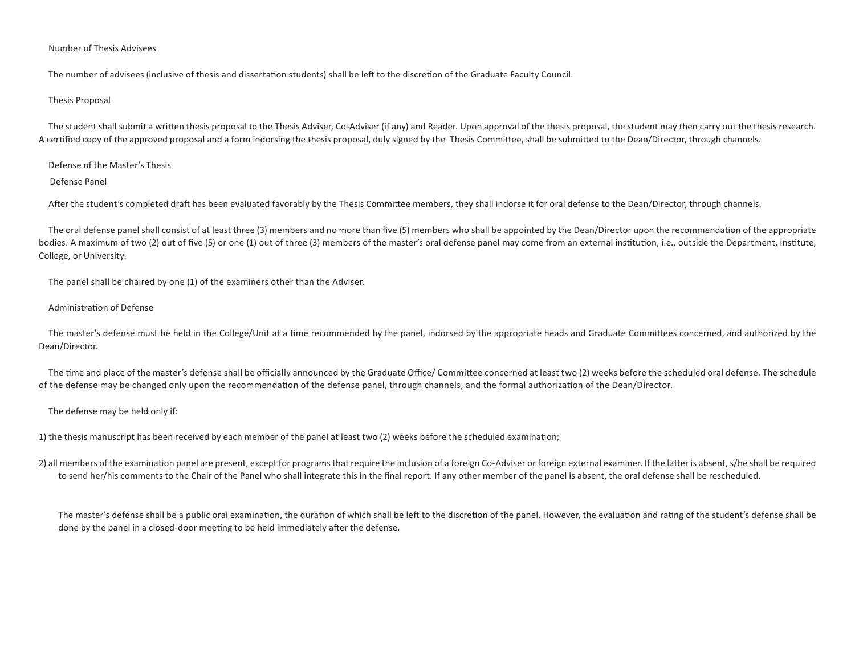### Number of Thesis Advisees

The number of advisees (inclusive of thesis and dissertation students) shall be left to the discretion of the Graduate Faculty Council.

#### Thesis Proposal

The student shall submit a written thesis proposal to the Thesis Adviser, Co-Adviser (if any) and Reader. Upon approval of the thesis proposal, the student may then carry out the thesis research. A certified copy of the approved proposal and a form indorsing the thesis proposal, duly signed by the Thesis Committee, shall be submitted to the Dean/Director, through channels.

Defense of the Master's Thesis

# Defense Panel

After the student's completed draft has been evaluated favorably by the Thesis Committee members, they shall indorse it for oral defense to the Dean/Director, through channels.

The oral defense panel shall consist of at least three (3) members and no more than five (5) members who shall be appointed by the Dean/Director upon the recommendation of the appropriate bodies. A maximum of two (2) out of five (5) or one (1) out of three (3) members of the master's oral defense panel may come from an external institution, i.e., outside the Department, Institute, College, or University.

The panel shall be chaired by one (1) of the examiners other than the Adviser.

### Administration of Defense

The master's defense must be held in the College/Unit at a time recommended by the panel, indorsed by the appropriate heads and Graduate Committees concerned, and authorized by the Dean/Director.

The time and place of the master's defense shall be officially announced by the Graduate Office/ Committee concerned at least two (2) weeks before the scheduled oral defense. The schedule of the defense may be changed only upon the recommendation of the defense panel, through channels, and the formal authorization of the Dean/Director.

The defense may be held only if:

1) the thesis manuscript has been received by each member of the panel at least two (2) weeks before the scheduled examination;

2) all members of the examination panel are present, except for programs that require the inclusion of a foreign Co-Adviser or foreign external examiner. If the latter is absent, s/he shall be required to send her/his comments to the Chair of the Panel who shall integrate this in the final report. If any other member of the panel is absent, the oral defense shall be rescheduled.

The master's defense shall be a public oral examination, the duration of which shall be left to the discretion of the panel. However, the evaluation and rating of the student's defense shall be done by the panel in a closed-door meeting to be held immediately after the defense.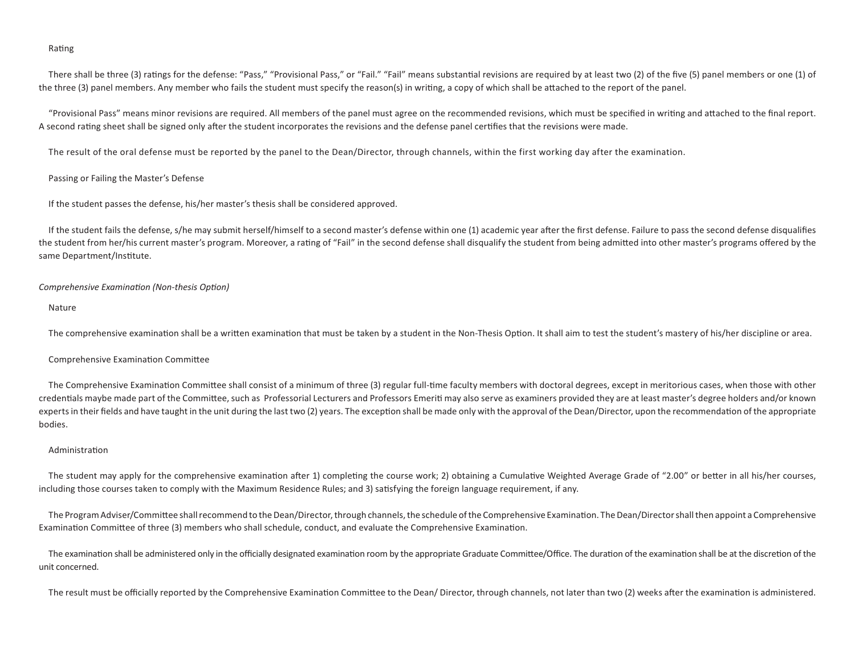## Rating

There shall be three (3) ratings for the defense: "Pass," "Provisional Pass," or "Fail." "Fail" means substantial revisions are required by at least two (2) of the five (5) panel members or one (1) of the three (3) panel members. Any member who fails the student must specify the reason(s) in writing, a copy of which shall be attached to the report of the panel.

"Provisional Pass" means minor revisions are required. All members of the panel must agree on the recommended revisions, which must be specified in writing and attached to the final report. A second rating sheet shall be signed only after the student incorporates the revisions and the defense panel certifies that the revisions were made.

The result of the oral defense must be reported by the panel to the Dean/Director, through channels, within the first working day after the examination.

## Passing or Failing the Master's Defense

If the student passes the defense, his/her master's thesis shall be considered approved.

If the student fails the defense, s/he may submit herself/himself to a second master's defense within one (1) academic year after the first defense. Failure to pass the second defense disqualifies the student from her/his current master's program. Moreover, a rating of "Fail" in the second defense shall disqualify the student from being admitted into other master's programs offered by the same Department/Institute.

## *Comprehensive Examination (Non-thesis Option)*

#### Nature

The comprehensive examination shall be a written examination that must be taken by a student in the Non-Thesis Option. It shall aim to test the student's mastery of his/her discipline or area.

### Comprehensive Examination Committee

The Comprehensive Examination Committee shall consist of a minimum of three (3) regular full-time faculty members with doctoral degrees, except in meritorious cases, when those with other credentials maybe made part of the Committee, such as Professorial Lecturers and Professors Emeriti may also serve as examiners provided they are at least master's degree holders and/or known experts in their fields and have taught in the unit during the last two (2) years. The exception shall be made only with the approval of the Dean/Director, upon the recommendation of the appropriate bodies.

### Administration

The student may apply for the comprehensive examination after 1) completing the course work; 2) obtaining a Cumulative Weighted Average Grade of "2.00" or better in all his/her courses, including those courses taken to comply with the Maximum Residence Rules; and 3) satisfying the foreign language requirement, if any.

The Program Adviser/Committee shall recommend to the Dean/Director, through channels, the schedule of the Comprehensive Examination. The Dean/Director shall then appoint a Comprehensive Examination Committee of three (3) members who shall schedule, conduct, and evaluate the Comprehensive Examination.

The examination shall be administered only in the officially designated examination room by the appropriate Graduate Committee/Office. The duration of the examination shall be at the discretion of the unit concerned.

The result must be officially reported by the Comprehensive Examination Committee to the Dean/ Director, through channels, not later than two (2) weeks after the examination is administered.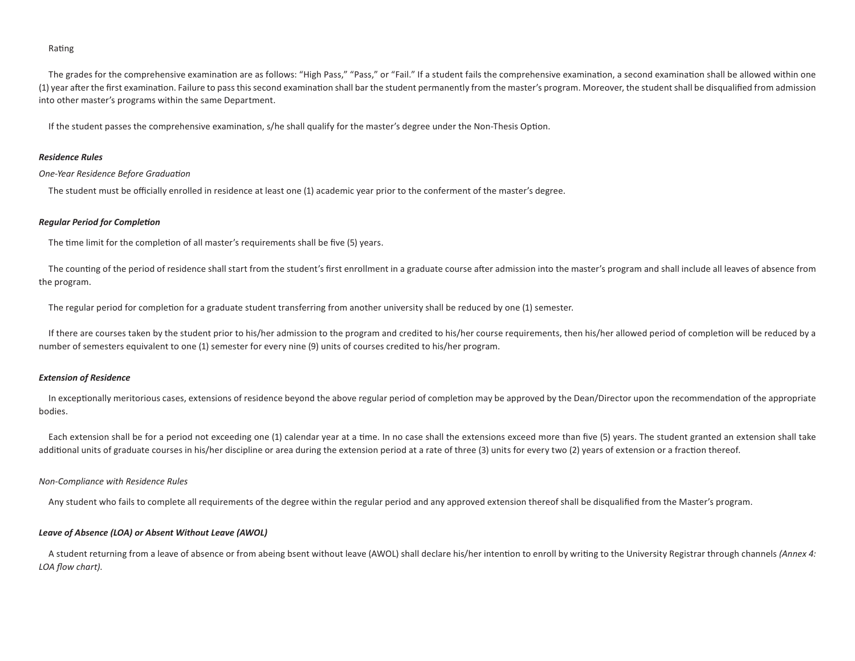## Rating

The grades for the comprehensive examination are as follows: "High Pass," "Pass," or "Fail." If a student fails the comprehensive examination, a second examination shall be allowed within one (1) year after the first examination. Failure to pass this second examination shall bar the student permanently from the master's program. Moreover, the student shall be disqualified from admission into other master's programs within the same Department.

If the student passes the comprehensive examination, s/he shall qualify for the master's degree under the Non-Thesis Option.

#### *Residence Rules*

#### *One-Year Residence Before Graduation*

The student must be officially enrolled in residence at least one (1) academic year prior to the conferment of the master's degree.

### *Regular Period for Completion*

The time limit for the completion of all master's requirements shall be five (5) years.

The counting of the period of residence shall start from the student's first enrollment in a graduate course after admission into the master's program and shall include all leaves of absence from the program.

The regular period for completion for a graduate student transferring from another university shall be reduced by one (1) semester.

If there are courses taken by the student prior to his/her admission to the program and credited to his/her course requirements, then his/her allowed period of completion will be reduced by a number of semesters equivalent to one (1) semester for every nine (9) units of courses credited to his/her program.

## *Extension of Residence*

In exceptionally meritorious cases, extensions of residence beyond the above regular period of completion may be approved by the Dean/Director upon the recommendation of the appropriate bodies.

Each extension shall be for a period not exceeding one (1) calendar year at a time. In no case shall the extensions exceed more than five (5) years. The student granted an extension shall take additional units of graduate courses in his/her discipline or area during the extension period at a rate of three (3) units for every two (2) years of extension or a fraction thereof.

# *Non-Compliance with Residence Rules*

Any student who fails to complete all requirements of the degree within the regular period and any approved extension thereof shall be disqualified from the Master's program.

### *Leave of Absence (LOA) or Absent Without Leave (AWOL)*

A student returning from a leave of absence or from abeing bsent without leave (AWOL) shall declare his/her intention to enroll by writing to the University Registrar through channels *(Annex 4: LOA flow chart)*.